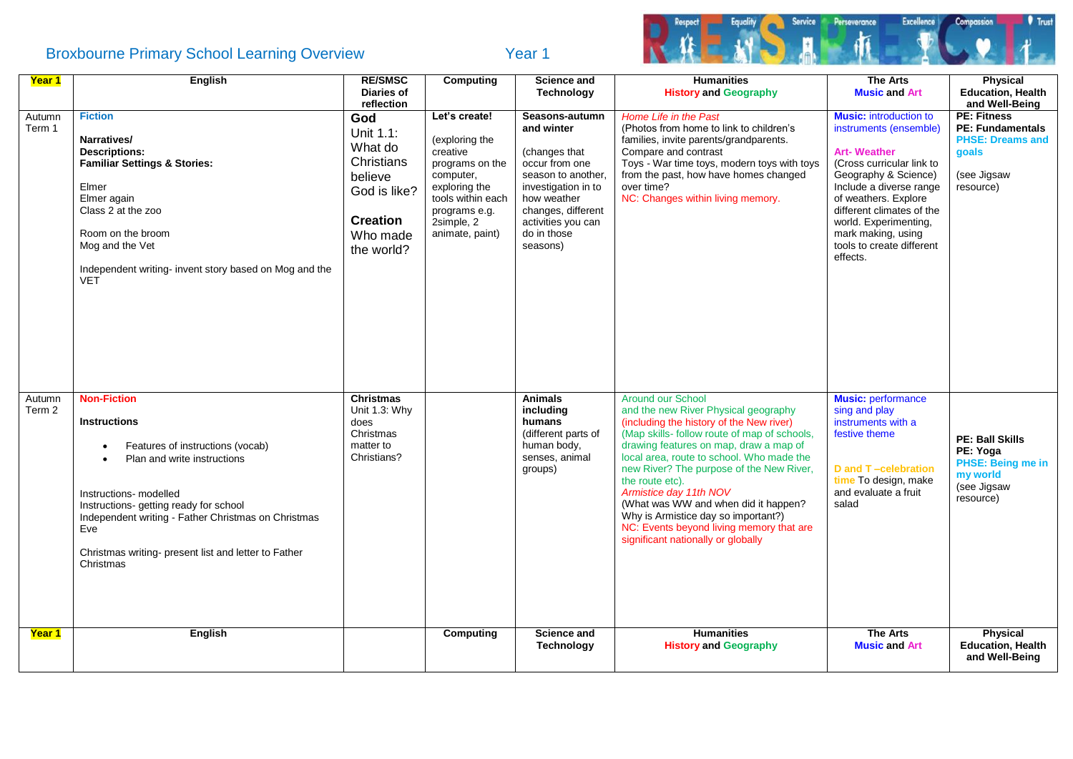## Broxbourne Primary School Learning Overview Tear 1



| Year 1           | English                                                                                                                                                                                                                                                                                                             | <b>RE/SMSC</b><br><b>Diaries of</b>                                                                                             | Computing                                                                                                                                                           | <b>Science and</b><br><b>Technology</b>                                                                                                                                                            | <b>Humanities</b><br><b>History and Geography</b>                                                                                                                                                                                                                                                                                                                                                                                                                                                             | <b>The Arts</b><br><b>Music and Art</b>                                                                                                                                                                                                                                                                    | Physical<br><b>Education, Health</b>                                                                                            |
|------------------|---------------------------------------------------------------------------------------------------------------------------------------------------------------------------------------------------------------------------------------------------------------------------------------------------------------------|---------------------------------------------------------------------------------------------------------------------------------|---------------------------------------------------------------------------------------------------------------------------------------------------------------------|----------------------------------------------------------------------------------------------------------------------------------------------------------------------------------------------------|---------------------------------------------------------------------------------------------------------------------------------------------------------------------------------------------------------------------------------------------------------------------------------------------------------------------------------------------------------------------------------------------------------------------------------------------------------------------------------------------------------------|------------------------------------------------------------------------------------------------------------------------------------------------------------------------------------------------------------------------------------------------------------------------------------------------------------|---------------------------------------------------------------------------------------------------------------------------------|
| Autumn<br>Term 1 | <b>Fiction</b><br>Narratives/<br><b>Descriptions:</b><br><b>Familiar Settings &amp; Stories:</b><br>Elmer<br>Elmer again<br>Class 2 at the zoo<br>Room on the broom<br>Mog and the Vet<br>Independent writing- invent story based on Mog and the<br><b>VET</b>                                                      | reflection<br>God<br>Unit 1.1:<br>What do<br>Christians<br>believe<br>God is like?<br><b>Creation</b><br>Who made<br>the world? | Let's create!<br>(exploring the<br>creative<br>programs on the<br>computer,<br>exploring the<br>tools within each<br>programs e.g.<br>2simple, 2<br>animate, paint) | Seasons-autumn<br>and winter<br>(changes that<br>occur from one<br>season to another.<br>investigation in to<br>how weather<br>changes, different<br>activities you can<br>do in those<br>seasons) | Home Life in the Past<br>(Photos from home to link to children's<br>families, invite parents/grandparents.<br>Compare and contrast<br>Toys - War time toys, modern toys with toys<br>from the past, how have homes changed<br>over time?<br>NC: Changes within living memory.                                                                                                                                                                                                                                 | <b>Music:</b> introduction to<br>instruments (ensemble)<br><b>Art-Weather</b><br>(Cross curricular link to<br>Geography & Science)<br>Include a diverse range<br>of weathers. Explore<br>different climates of the<br>world. Experimenting,<br>mark making, using<br>tools to create different<br>effects. | and Well-Being<br><b>PE: Fitness</b><br><b>PE: Fundamentals</b><br><b>PHSE: Dreams and</b><br>goals<br>(see Jigsaw<br>resource) |
| Autumn<br>Term 2 | <b>Non-Fiction</b><br><b>Instructions</b><br>Features of instructions (vocab)<br>Plan and write instructions<br>Instructions- modelled<br>Instructions- getting ready for school<br>Independent writing - Father Christmas on Christmas<br>Eve<br>Christmas writing- present list and letter to Father<br>Christmas | <b>Christmas</b><br>Unit 1.3: Why<br>does<br>Christmas<br>matter to<br>Christians?                                              |                                                                                                                                                                     | <b>Animals</b><br>including<br>humans<br>(different parts of<br>human body,<br>senses, animal<br>groups)                                                                                           | <b>Around our School</b><br>and the new River Physical geography<br>(including the history of the New river)<br>(Map skills- follow route of map of schools,<br>drawing features on map, draw a map of<br>local area, route to school. Who made the<br>new River? The purpose of the New River,<br>the route etc).<br>Armistice day 11th NOV<br>(What was WW and when did it happen?<br>Why is Armistice day so important?)<br>NC: Events beyond living memory that are<br>significant nationally or globally | <b>Music: performance</b><br>sing and play<br>instruments with a<br>festive theme<br>D and T-celebration<br>time To design, make<br>and evaluate a fruit<br>salad                                                                                                                                          | <b>PE: Ball Skills</b><br>PE: Yoga<br>PHSE: Being me in<br>my world<br>(see Jigsaw<br>resource)                                 |
| <b>Year 1</b>    | English                                                                                                                                                                                                                                                                                                             |                                                                                                                                 | Computing                                                                                                                                                           | <b>Science and</b><br><b>Technology</b>                                                                                                                                                            | <b>Humanities</b><br><b>History and Geography</b>                                                                                                                                                                                                                                                                                                                                                                                                                                                             | <b>The Arts</b><br><b>Music and Art</b>                                                                                                                                                                                                                                                                    | <b>Physical</b><br><b>Education, Health</b><br>and Well-Being                                                                   |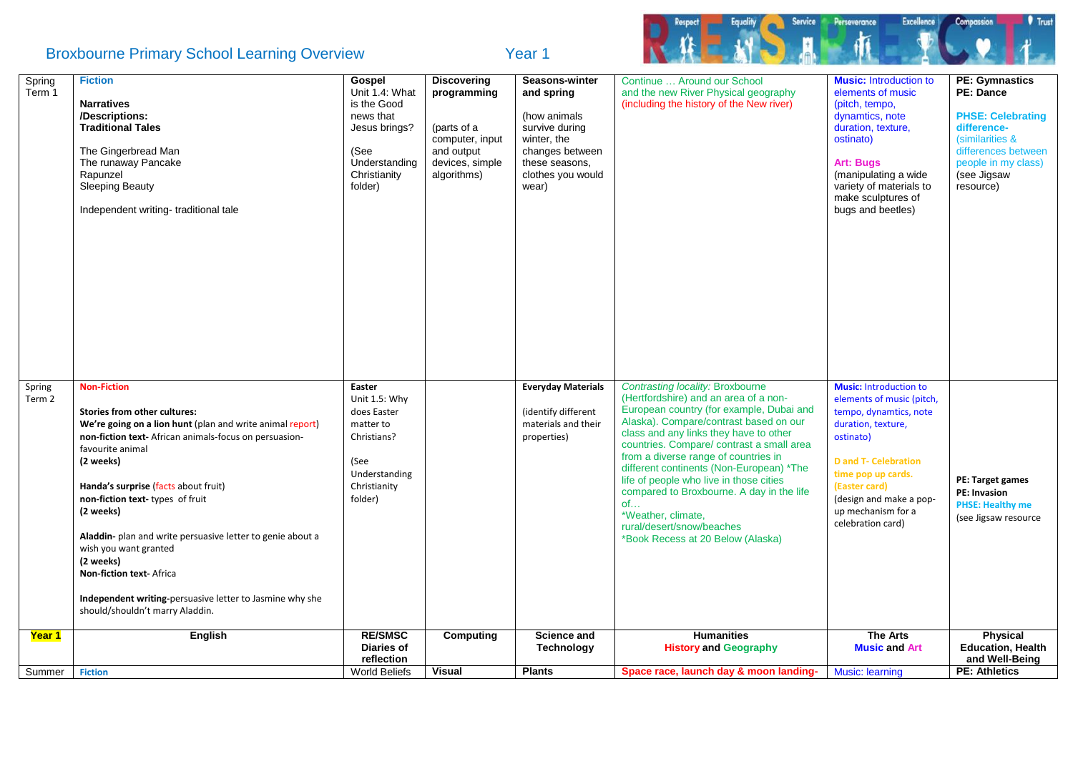## Broxbourne Primary School Learning Overview Tear 1



| Spring<br>Term 1 | <b>Fiction</b><br><b>Narratives</b><br>/Descriptions:<br><b>Traditional Tales</b><br>The Gingerbread Man<br>The runaway Pancake<br>Rapunzel<br><b>Sleeping Beauty</b><br>Independent writing-traditional tale                                                                                                                                                                                                                                                                                                                     | Gospel<br>Unit 1.4: What<br>is the Good<br>news that<br>Jesus brings?<br>(See<br>Understanding<br>Christianity<br>folder) | <b>Discovering</b><br>programming<br>(parts of a<br>computer, input<br>and output<br>devices, simple<br>algorithms) | Seasons-winter<br>and spring<br>(how animals<br>survive during<br>winter, the<br>changes between<br>these seasons,<br>clothes you would<br>wear) | Continue  Around our School<br>and the new River Physical geography<br>(including the history of the New river)                                                                                                                                                                                                                                                                                                                                                                                                                         | <b>Music:</b> Introduction to<br>elements of music<br>(pitch, tempo,<br>dynamtics, note<br>duration, texture,<br>ostinato)<br><b>Art: Bugs</b><br>(manipulating a wide<br>variety of materials to<br>make sculptures of<br>bugs and beetles)                        | <b>PE: Gymnastics</b><br><b>PE: Dance</b><br><b>PHSE: Celebrating</b><br>difference-<br>(similarities &<br>differences between<br>people in my class)<br>(see Jigsaw<br>resource) |
|------------------|-----------------------------------------------------------------------------------------------------------------------------------------------------------------------------------------------------------------------------------------------------------------------------------------------------------------------------------------------------------------------------------------------------------------------------------------------------------------------------------------------------------------------------------|---------------------------------------------------------------------------------------------------------------------------|---------------------------------------------------------------------------------------------------------------------|--------------------------------------------------------------------------------------------------------------------------------------------------|-----------------------------------------------------------------------------------------------------------------------------------------------------------------------------------------------------------------------------------------------------------------------------------------------------------------------------------------------------------------------------------------------------------------------------------------------------------------------------------------------------------------------------------------|---------------------------------------------------------------------------------------------------------------------------------------------------------------------------------------------------------------------------------------------------------------------|-----------------------------------------------------------------------------------------------------------------------------------------------------------------------------------|
| Spring<br>Term 2 | <b>Non-Fiction</b><br>Stories from other cultures:<br>We're going on a lion hunt (plan and write animal report)<br>non-fiction text- African animals-focus on persuasion-<br>favourite animal<br>(2 weeks)<br>Handa's surprise (facts about fruit)<br>non-fiction text-types of fruit<br>(2 weeks)<br>Aladdin- plan and write persuasive letter to genie about a<br>wish you want granted<br>(2 weeks)<br>Non-fiction text- Africa<br>Independent writing-persuasive letter to Jasmine why she<br>should/shouldn't marry Aladdin. | Easter<br>Unit 1.5: Why<br>does Easter<br>matter to<br>Christians?<br>(See<br>Understanding<br>Christianity<br>folder)    |                                                                                                                     | <b>Everyday Materials</b><br>(identify different<br>materials and their<br>properties)                                                           | <b>Contrasting locality: Broxbourne</b><br>(Hertfordshire) and an area of a non-<br>European country (for example, Dubai and<br>Alaska). Compare/contrast based on our<br>class and any links they have to other<br>countries. Compare/ contrast a small area<br>from a diverse range of countries in<br>different continents (Non-European) *The<br>life of people who live in those cities<br>compared to Broxbourne. A day in the life<br>of<br>*Weather, climate,<br>rural/desert/snow/beaches<br>*Book Recess at 20 Below (Alaska) | <b>Music: Introduction to</b><br>elements of music (pitch,<br>tempo, dynamtics, note<br>duration, texture,<br>ostinato)<br><b>D</b> and T- Celebration<br>time pop up cards.<br>(Easter card)<br>(design and make a pop-<br>up mechanism for a<br>celebration card) | PE: Target games<br><b>PE: Invasion</b><br><b>PHSE: Healthy me</b><br>(see Jigsaw resource                                                                                        |
| Year 1           | English                                                                                                                                                                                                                                                                                                                                                                                                                                                                                                                           | <b>RE/SMSC</b><br>Diaries of<br>reflection<br><b>World Beliefs</b>                                                        | Computing                                                                                                           | <b>Science and</b><br><b>Technology</b>                                                                                                          | <b>Humanities</b><br><b>History and Geography</b>                                                                                                                                                                                                                                                                                                                                                                                                                                                                                       | <b>The Arts</b><br><b>Music and Art</b>                                                                                                                                                                                                                             | <b>Physical</b><br><b>Education, Health</b><br>and Well-Being                                                                                                                     |
| Summer           | <b>Fiction</b>                                                                                                                                                                                                                                                                                                                                                                                                                                                                                                                    |                                                                                                                           | <b>Visual</b>                                                                                                       | <b>Plants</b>                                                                                                                                    | Space race, launch day & moon landing-                                                                                                                                                                                                                                                                                                                                                                                                                                                                                                  | <b>Music: learning</b>                                                                                                                                                                                                                                              | <b>PE: Athletics</b>                                                                                                                                                              |